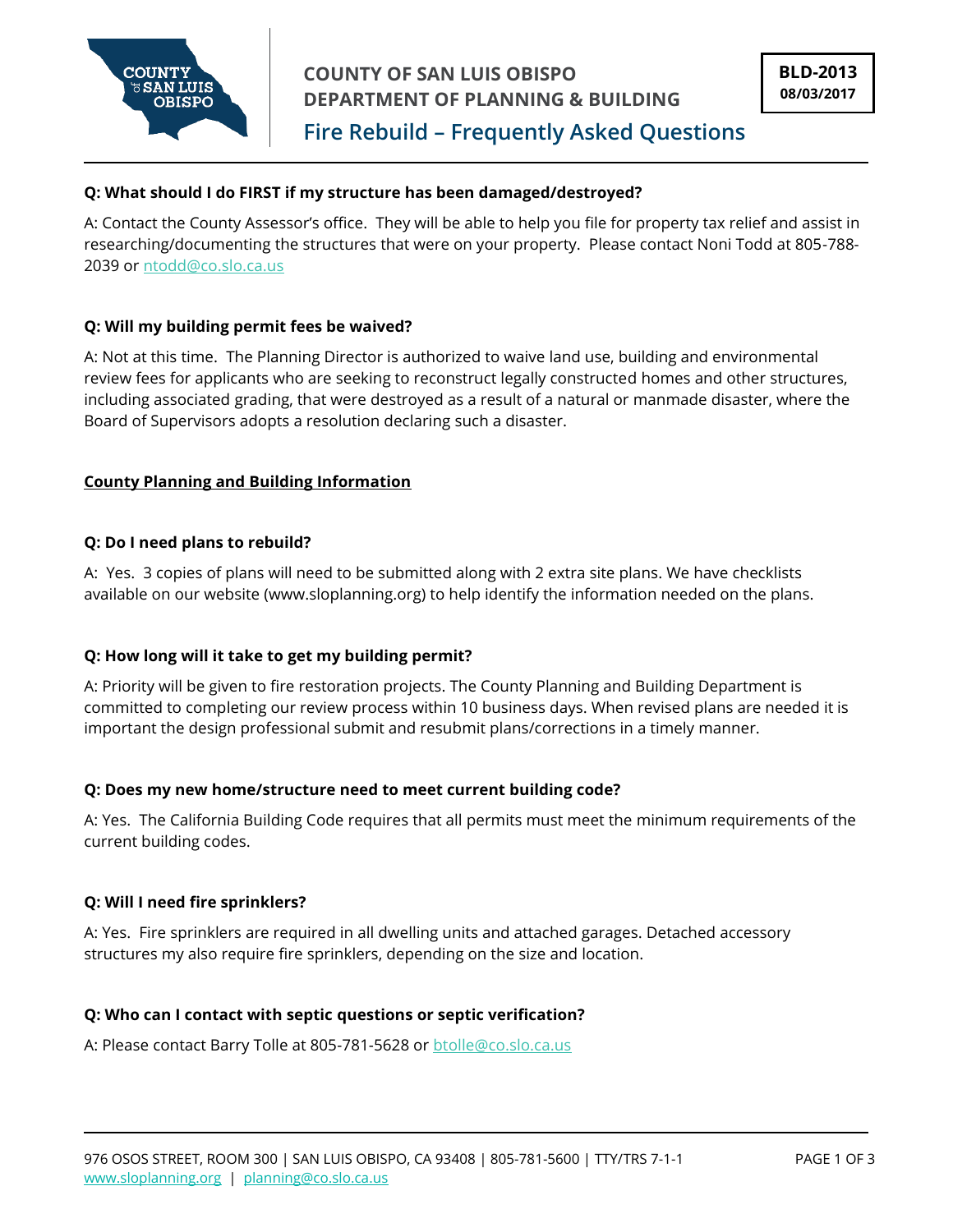

**Fire Rebuild – Frequently Asked Questions**

# **Q: What should I do FIRST if my structure has been damaged/destroyed?**

A: Contact the County Assessor's office. They will be able to help you file for property tax relief and assist in researching/documenting the structures that were on your property. Please contact Noni Todd at 805-788 2039 or [ntodd@co.slo.ca.us](mailto:ntodd@co.slo.ca.us)

# **Q: Will my building permit fees be waived?**

A: Not at this time. The Planning Director is authorized to waive land use, building and environmental review fees for applicants who are seeking to reconstruct legally constructed homes and other structures, including associated grading, that were destroyed as a result of a natural or manmade disaster, where the Board of Supervisors adopts a resolution declaring such a disaster.

# **County Planning and Building Information**

# **Q: Do I need plans to rebuild?**

A: Yes. 3 copies of plans will need to be submitted along with 2 extra site plans. We have checklists available on our website (www.sloplanning.org) to help identify the information needed on the plans.

# **Q: How long will it take to get my building permit?**

A: Priority will be given to fire restoration projects. The County Planning and Building Department is committed to completing our review process within 10 business days. When revised plans are needed it is important the design professional submit and resubmit plans/corrections in a timely manner.

#### **Q: Does my new home/structure need to meet current building code?**

A: Yes. The California Building Code requires that all permits must meet the minimum requirements of the current building codes.

#### **Q: Will I need fire sprinklers?**

A: Yes. Fire sprinklers are required in all dwelling units and attached garages. Detached accessory structures my also require fire sprinklers, depending on the size and location.

# **Q: Who can I contact with septic questions or septic verification?**

A: Please contact Barry Tolle at 805-781-5628 or [btolle@co.slo.ca.us](mailto:btolle@co.slo.ca.us)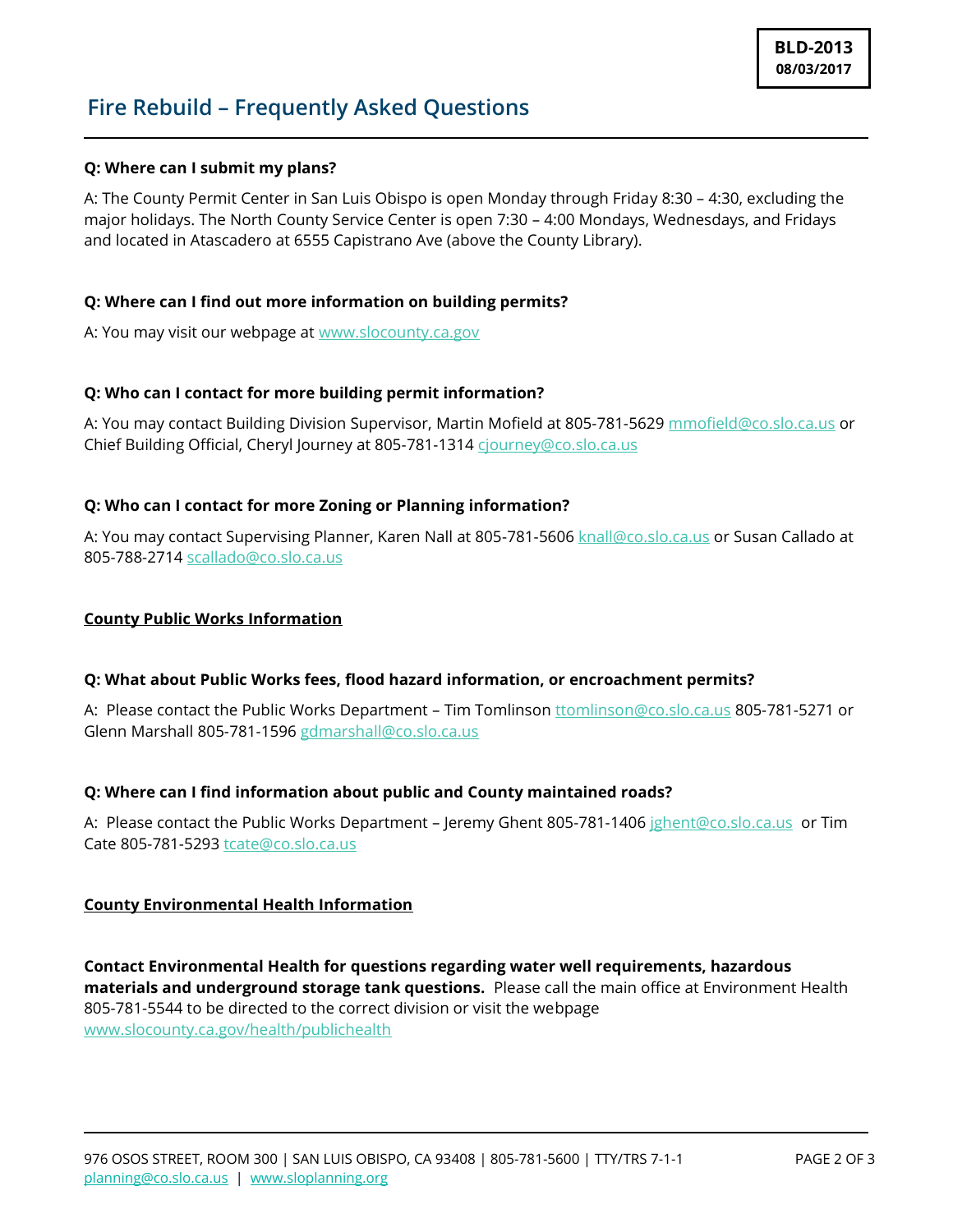# **Fire Rebuild – Frequently Asked Questions**

# **Q: Where can I submit my plans?**

A: The County Permit Center in San Luis Obispo is open Monday through Friday 8:30 – 4:30, excluding the major holidays. The North County Service Center is open 7:30 – 4:00 Mondays, Wednesdays, and Fridays and located in Atascadero at 6555 Capistrano Ave (above the County Library).

# **Q: Where can I find out more information on building permits?**

A: You may visit our webpage at [www.slocounty.ca.gov](http://www.slocounty.ca.gov/)

# **Q: Who can I contact for more building permit information?**

A: You may contact Building Division Supervisor, Martin Mofield at 805-781-5629 [mmofield@co.slo.ca.us](mailto:mmofield@co.slo.ca.us) or Chief Building Official, Cheryl Journey at 805-781-1314 [cjourney@co.slo.ca.us](mailto:cjourney@co.slo.ca.us)

# **Q: Who can I contact for more Zoning or Planning information?**

A: You may contact Supervising Planner, Karen Nall at 805-781-5606 [knall@co.slo.ca.us](mailto:knall@co.slo.ca.us) or Susan Callado at 805-788-2714 [scallado@co.slo.ca.us](mailto:scallado@co.slo.ca.us)

#### **County Public Works Information**

# **Q: What about Public Works fees, flood hazard information, or encroachment permits?**

A: Please contact the Public Works Department – Tim Tomlinson [ttomlinson@co.slo.ca.us](mailto:ttomlinson@co.slo.ca.us) 805-781-5271 or Glenn Marshall 805-781-1596 [gdmarshall@co.slo.ca.us](mailto:gdmarshall@co.slo.ca.us)

#### **Q: Where can I find information about public and County maintained roads?**

A: Please contact the Public Works Department – Jeremy Ghent 805-781-1406 [jghent@co.slo.ca.us](mailto:jghent@co.slo.ca.us) or Tim Cate 805-781-5293 [tcate@co.slo.ca.us](mailto:tcate@co.slo.ca.us)

#### **County Environmental Health Information**

**Contact Environmental Health for questions regarding water well requirements, hazardous materials and underground storage tank questions.** Please call the main office at Environment Health 805-781-5544 to be directed to the correct division or visit the webpage [www.slocounty.ca.gov/health/publichealth](http://www.slocounty.ca.gov/health/publichealth)